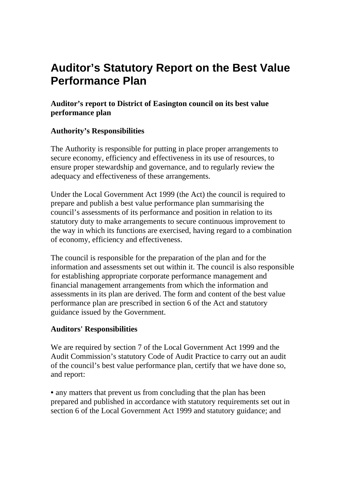## **Auditor's Statutory Report on the Best Value Performance Plan**

**Auditor's report to District of Easington council on its best value performance plan** 

## **Authority's Responsibilities**

The Authority is responsible for putting in place proper arrangements to secure economy, efficiency and effectiveness in its use of resources, to ensure proper stewardship and governance, and to regularly review the adequacy and effectiveness of these arrangements.

Under the Local Government Act 1999 (the Act) the council is required to prepare and publish a best value performance plan summarising the council's assessments of its performance and position in relation to its statutory duty to make arrangements to secure continuous improvement to the way in which its functions are exercised, having regard to a combination of economy, efficiency and effectiveness.

The council is responsible for the preparation of the plan and for the information and assessments set out within it. The council is also responsible for establishing appropriate corporate performance management and financial management arrangements from which the information and assessments in its plan are derived. The form and content of the best value performance plan are prescribed in section 6 of the Act and statutory guidance issued by the Government.

## **Auditors' Responsibilities**

We are required by section 7 of the Local Government Act 1999 and the Audit Commission's statutory Code of Audit Practice to carry out an audit of the council's best value performance plan, certify that we have done so, and report:

• any matters that prevent us from concluding that the plan has been prepared and published in accordance with statutory requirements set out in section 6 of the Local Government Act 1999 and statutory guidance; and